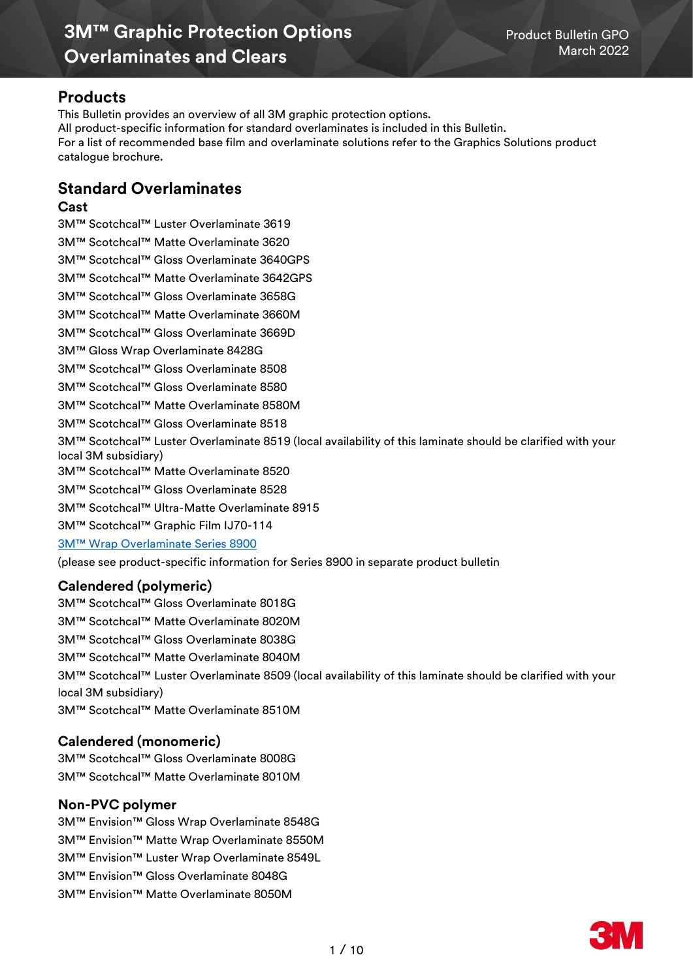# **Products**

This Bulletin provides an overview of all 3M graphic protection options. All product-specific information for standard overlaminates is included in this Bulletin. For a list of recommended base film and overlaminate solutions refer to the Graphics Solutions product catalogue brochure.

# **Standard Overlaminates**

## **Cast**

3M™ Scotchcal™ Luster Overlaminate 3619 3M™ Scotchcal™ Matte Overlaminate 3620 3M™ Scotchcal™ Gloss Overlaminate 3640GPS 3M™ Scotchcal™ Matte Overlaminate 3642GPS 3M™ Scotchcal™ Gloss Overlaminate 3658G 3M™ Scotchcal™ Matte Overlaminate 3660M 3M™ Scotchcal™ Gloss Overlaminate 3669D 3M™ Gloss Wrap Overlaminate 8428G 3M™ Scotchcal™ Gloss Overlaminate 8508 3M™ Scotchcal™ Gloss Overlaminate 8580 3M™ Scotchcal™ Matte Overlaminate 8580M 3M™ Scotchcal™ Gloss Overlaminate 8518 3M™ Scotchcal™ Luster Overlaminate 8519 (local availability of this laminate should be clarified with your local 3M subsidiary) 3M™ Scotchcal™ Matte Overlaminate 8520 3M™ Scotchcal™ Gloss Overlaminate 8528 3M™ Scotchcal™ Ultra-Matte Overlaminate 8915 3M™ Scotchcal™ Graphic Film IJ70-114 [3M™ Wrap Overlaminate Series 8900](http://multimedia.3m.com/mws/media/1255387O/product-bulletin-8900.pdf) [\(please see product-specific information for Series 8900 in separate product bulletin](http://multimedia.3m.com/mws/media/1255387O/product-bulletin-8900.pdf)

# **Calendered (polymeric)**

3M™ Scotchcal™ Gloss Overlaminate 8018G 3M™ Scotchcal™ Matte Overlaminate 8020M 3M™ Scotchcal™ Gloss Overlaminate 8038G 3M™ Scotchcal™ Matte Overlaminate 8040M 3M™ Scotchcal™ Luster Overlaminate 8509 (local availability of this laminate should be clarified with your local 3M subsidiary) 3M™ Scotchcal™ Matte Overlaminate 8510M

# **Calendered (monomeric)**

3M™ Scotchcal™ Gloss Overlaminate 8008G 3M™ Scotchcal™ Matte Overlaminate 8010M

# **Non-PVC polymer**

- 3M™ Envision™ Gloss Wrap Overlaminate 8548G
- 3M™ Envision™ Matte Wrap Overlaminate 8550M
- 3M™ Envision™ Luster Wrap Overlaminate 8549L
- 3M™ Envision™ Gloss Overlaminate 8048G
- 3M™ Envision™ Matte Overlaminate 8050M

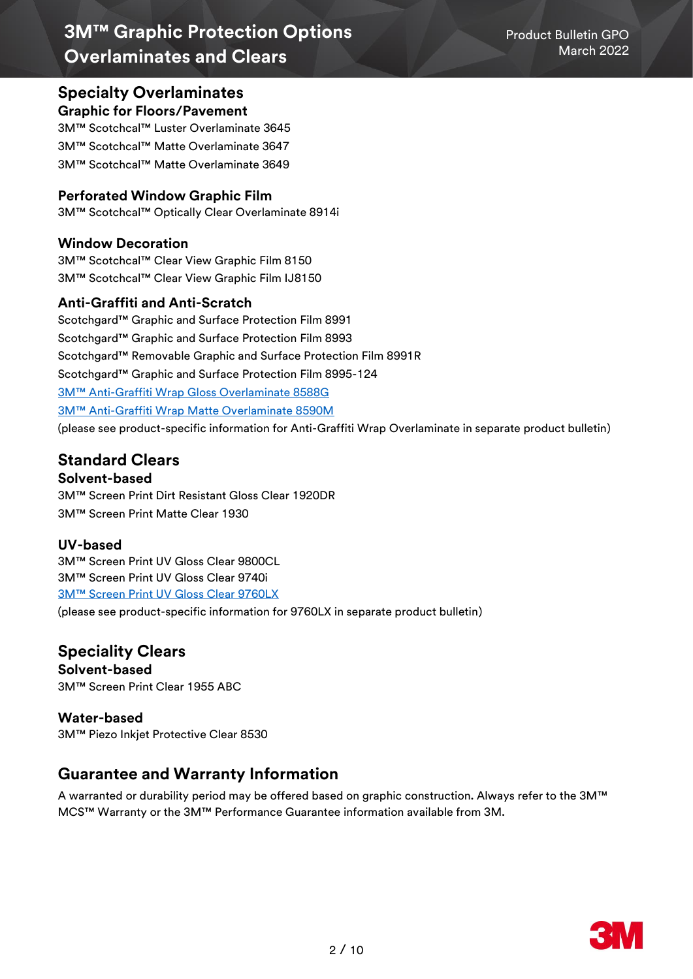# **Specialty Overlaminates**

# **Graphic for Floors/Pavement**

3M™ Scotchcal™ Luster Overlaminate 3645 3M™ Scotchcal™ Matte Overlaminate 3647 3M™ Scotchcal™ Matte Overlaminate 3649

# **Perforated Window Graphic Film**

3M™ Scotchcal™ Optically Clear Overlaminate 8914i

# **Window Decoration**

3M™ Scotchcal™ Clear View Graphic Film 8150 3M™ Scotchcal™ Clear View Graphic Film IJ8150

# **Anti-Graffiti and Anti-Scratch**

Scotchgard™ Graphic and Surface Protection Film 8991 Scotchgard™ Graphic and Surface Protection Film 8993 Scotchgard™ Removable Graphic and Surface Protection Film 8991R Scotchgard™ Graphic and Surface Protection Film 8995-124 3M™ Anti[-Graffiti Wrap Gloss Overlaminate 8588G](https://multimedia.3m.com/mws/media/1506339O/product-bulletin-3m-eu-pb-8588g-8590m-2018-1.pdf) 3M™ Anti[-Graffiti Wrap Matte Overlaminate 8590M](https://multimedia.3m.com/mws/media/1506339O/product-bulletin-3m-eu-pb-8588g-8590m-2018-1.pdf) [\(please see product-specific information for Anti-Graffiti Wrap Overlaminate in separate product bulletin\)](http://multimedia.3m.com/mws/media/1255387O/product-bulletin-8900.pdf)

# **Standard Clears**

# **Solvent-based**

3M™ Screen Print Dirt Resistant Gloss Clear 1920DR 3M™ Screen Print Matte Clear 1930

# **UV-based**

3M™ Screen Print UV Gloss Clear 9800CL 3M™ Screen Print UV Gloss Clear 9740i [3M™ Screen Print UV Gloss Clear 9760LX](https://multimedia.3m.com/mws/media/1462729O/product-bulletin-3m-screen-print-uv-gloss-clear-9760lx.pdf)

(please see [product-specific information for 9760LX in separate product bulletin\)](http://multimedia.3m.com/mws/media/1255387O/product-bulletin-8900.pdf)

# **Speciality Clears**

**Solvent-based** 3M™ Screen Print Clear 1955 ABC

## **Water-based** 3M™ Piezo Inkjet Protective Clear 8530

# **Guarantee and Warranty Information**

A warranted or durability period may be offered based on graphic construction. Always refer to the 3M™ MCS™ Warranty or the 3M™ Performance Guarantee information available from 3M.

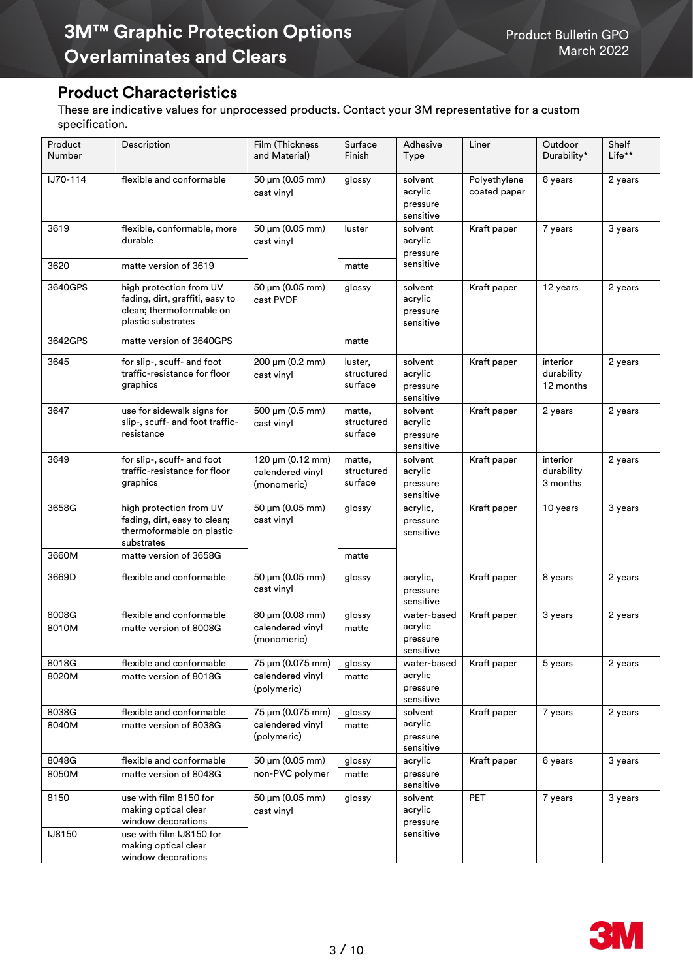# **Product Characteristics**

These are indicative values for unprocessed products. Contact your 3M representative for a custom specification.

| Product<br>Number     | Description                                                                                                  | Film (Thickness<br>and Material)                    | Surface<br>Finish                | Adhesive<br>Type                            | Liner                        | Outdoor<br>Durability*              | Shelf<br>Life** |
|-----------------------|--------------------------------------------------------------------------------------------------------------|-----------------------------------------------------|----------------------------------|---------------------------------------------|------------------------------|-------------------------------------|-----------------|
| IJ70-114              | flexible and conformable                                                                                     | 50 µm (0.05 mm)<br>cast vinyl                       | glossy                           | solvent<br>acrylic<br>pressure<br>sensitive | Polyethylene<br>coated paper | 6 years                             | 2 years         |
| 3619                  | flexible, conformable, more<br>durable                                                                       | 50 µm (0.05 mm)<br>cast vinyl                       | luster                           | solvent<br>acrylic<br>pressure              | Kraft paper                  | 7 years                             | 3 years         |
| 3620                  | matte version of 3619                                                                                        |                                                     | matte                            | sensitive                                   |                              |                                     |                 |
| 3640GPS               | high protection from UV<br>fading, dirt, graffiti, easy to<br>clean; thermoformable on<br>plastic substrates | 50 µm (0.05 mm)<br>cast PVDF                        | glossy                           | solvent<br>acrylic<br>pressure<br>sensitive | Kraft paper                  | 12 years                            | 2 years         |
| 3642GPS               | matte version of 3640GPS                                                                                     |                                                     | matte                            |                                             |                              |                                     |                 |
| 3645                  | for slip-, scuff- and foot<br>traffic-resistance for floor<br>graphics                                       | $200 \mu m (0.2 mm)$<br>cast vinyl                  | luster,<br>structured<br>surface | solvent<br>acrylic<br>pressure<br>sensitive | Kraft paper                  | interior<br>durability<br>12 months | 2 years         |
| 3647                  | use for sidewalk signs for<br>slip-, scuff- and foot traffic-<br>resistance                                  | 500 µm (0.5 mm)<br>cast vinyl                       | matte,<br>structured<br>surface  | solvent<br>acrylic<br>pressure<br>sensitive | Kraft paper                  | 2 years                             | 2 years         |
| 3649                  | for slip-, scuff- and foot<br>traffic-resistance for floor<br>graphics                                       | 120 µm (0.12 mm)<br>calendered vinyl<br>(monomeric) | matte,<br>structured<br>surface  | solvent<br>acrylic<br>pressure<br>sensitive | Kraft paper                  | interior<br>durability<br>3 months  | 2 years         |
| 3658G                 | high protection from UV<br>fading, dirt, easy to clean;<br>thermoformable on plastic<br>substrates           | 50 µm (0.05 mm)<br>cast vinyl                       | glossy                           | acrylic,<br>pressure<br>sensitive           | Kraft paper                  | 10 years                            | 3 years         |
| 3660M                 | matte version of 3658G                                                                                       |                                                     | matte                            |                                             |                              |                                     |                 |
| 3669D                 | flexible and conformable                                                                                     | 50 µm (0.05 mm)<br>cast vinyl                       | glossy                           | acrylic,<br>pressure<br>sensitive           | Kraft paper                  | 8 years                             | 2 years         |
| 8008G                 | flexible and conformable                                                                                     | 80 µm (0.08 mm)                                     | glossy                           | water-based                                 | Kraft paper                  | 3 years                             | 2 years         |
| 8010M                 | matte version of 8008G                                                                                       | calendered vinyl<br>(monomeric)                     | matte                            | acrylic<br>pressure<br>sensitive            |                              |                                     |                 |
| 8018G                 | flexible and conformable                                                                                     | 75 µm (0.075 mm)                                    | glossy                           | water-based                                 | Kraft paper                  | 5 years                             | 2 years         |
| 8020M                 | matte version of 8018G                                                                                       | calendered vinyl<br>(polymeric)                     | matte                            | acrylic<br>pressure<br>sensitive            |                              |                                     |                 |
| 8038G                 | flexible and conformable                                                                                     | 75 µm (0.075 mm)                                    | glossy                           | solvent                                     | Kraft paper                  | 7 years                             | 2 years         |
| 8040M                 | matte version of 8038G                                                                                       | calendered vinyl<br>(polymeric)                     | matte                            | acrylic<br>pressure<br>sensitive            |                              |                                     |                 |
| 8048G                 | flexible and conformable                                                                                     | 50 µm (0.05 mm)                                     | glossy                           | acrylic                                     | Kraft paper                  | 6 years                             | 3 years         |
| 8050M                 | matte version of 8048G                                                                                       | non-PVC polymer                                     | matte                            | pressure<br>sensitive                       |                              |                                     |                 |
| 8150<br><b>IJ8150</b> | use with film 8150 for<br>making optical clear<br>window decorations<br>use with film IJ8150 for             | 50 μm (0.05 mm)<br>cast vinyl                       | glossy                           | solvent<br>acrylic<br>pressure<br>sensitive | PET                          | 7 years                             | 3 years         |
|                       | making optical clear<br>window decorations                                                                   |                                                     |                                  |                                             |                              |                                     |                 |

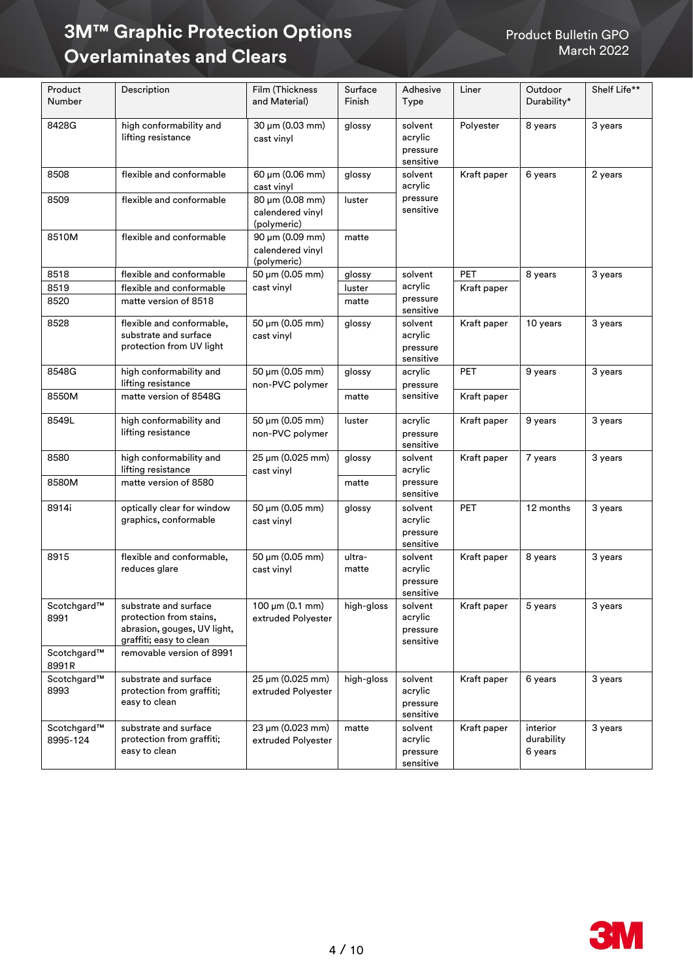| Product<br>Number       | Description                                                                                                | Film (Thickness<br>and Material)                   | Surface<br>Finish | Adhesive<br>Type                            | Liner       | Outdoor<br>Durability*            | Shelf Life** |
|-------------------------|------------------------------------------------------------------------------------------------------------|----------------------------------------------------|-------------------|---------------------------------------------|-------------|-----------------------------------|--------------|
| 8428G                   | high conformability and<br>lifting resistance                                                              | 30 µm (0.03 mm)<br>cast vinyl                      | glossy            | solvent<br>acrylic<br>pressure<br>sensitive | Polyester   | 8 years                           | 3 years      |
| 8508                    | flexible and conformable                                                                                   | 60 µm (0.06 mm)<br>cast vinyl                      | glossy            | solvent<br>acrylic                          | Kraft paper | 6 years                           | 2 years      |
| 8509                    | flexible and conformable                                                                                   | 80 µm (0.08 mm)<br>calendered vinyl<br>(polymeric) | luster            | pressure<br>sensitive                       |             |                                   |              |
| 8510M                   | flexible and conformable                                                                                   | 90 μm (0.09 mm)<br>calendered vinyl<br>(polymeric) | matte             |                                             |             |                                   |              |
| 8518                    | flexible and conformable                                                                                   | 50 µm (0.05 mm)                                    | glossy            | solvent                                     | PET         | 8 years                           | 3 years      |
| 8519                    | flexible and conformable                                                                                   | cast vinyl                                         | luster            | acrylic                                     | Kraft paper |                                   |              |
| 8520                    | matte version of 8518                                                                                      |                                                    | matte             | pressure<br>sensitive                       |             |                                   |              |
| 8528                    | flexible and conformable,<br>substrate and surface<br>protection from UV light                             | 50 µm (0.05 mm)<br>cast vinyl                      | glossy            | solvent<br>acrylic<br>pressure<br>sensitive | Kraft paper | 10 years                          | 3 years      |
| 8548G                   | high conformability and<br>lifting resistance                                                              | 50 µm (0.05 mm)<br>non-PVC polymer                 | glossy            | acrylic<br>pressure                         | <b>PET</b>  | 9 years                           | 3 years      |
| 8550M                   | matte version of 8548G                                                                                     |                                                    | matte             | sensitive                                   | Kraft paper |                                   |              |
| 8549L                   | high conformability and<br>lifting resistance                                                              | 50 µm (0.05 mm)<br>non-PVC polymer                 | luster            | acrylic<br>pressure<br>sensitive            | Kraft paper | 9 years                           | 3 years      |
| 8580                    | high conformability and<br>lifting resistance                                                              | 25 µm (0.025 mm)<br>cast vinyl                     | glossy            | solvent<br>acrylic                          | Kraft paper | 7 years                           | 3 years      |
| 8580M                   | matte version of 8580                                                                                      |                                                    | matte             | pressure<br>sensitive                       |             |                                   |              |
| 8914i                   | optically clear for window<br>graphics, conformable                                                        | 50 µm (0.05 mm)<br>cast vinyl                      | glossy            | solvent<br>acrylic<br>pressure<br>sensitive | PET         | 12 months                         | 3 years      |
| 8915                    | flexible and conformable,<br>reduces glare                                                                 | 50 µm (0.05 mm)<br>cast vinyl                      | ultra-<br>matte   | solvent<br>acrylic<br>pressure<br>sensitive | Kraft paper | 8 years                           | 3 years      |
| Scotchgard™<br>8991     | substrate and surface<br>protection from stains,<br>abrasion, gouges, UV light,<br>graffiti; easy to clean | 100 µm (0.1 mm)<br>extruded Polyester              | high-gloss        | solvent<br>acrylic<br>pressure<br>sensitive | Kraft paper | 5 years                           | 3 years      |
| Scotchgard™<br>8991R    | removable version of 8991                                                                                  |                                                    |                   |                                             |             |                                   |              |
| Scotchgard™<br>8993     | substrate and surface<br>protection from graffiti;<br>easy to clean                                        | 25 µm (0.025 mm)<br>extruded Polyester             | high-gloss        | solvent<br>acrylic<br>pressure<br>sensitive | Kraft paper | 6 years                           | 3 years      |
| Scotchgard™<br>8995-124 | substrate and surface<br>protection from graffiti;<br>easy to clean                                        | 23 µm (0.023 mm)<br>extruded Polyester             | matte             | solvent<br>acrylic<br>pressure<br>sensitive | Kraft paper | interior<br>durability<br>6 years | 3 years      |

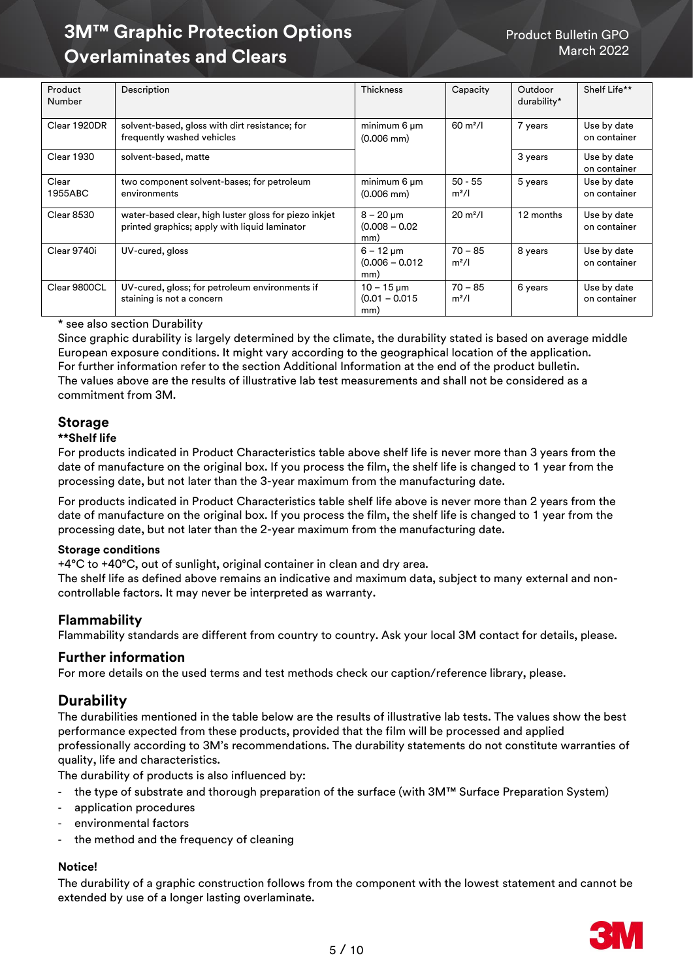| Product<br>Number | Description                                                                                            | <b>Thickness</b>                                        | Capacity                       | Outdoor<br>durability* | Shelf Life**                |
|-------------------|--------------------------------------------------------------------------------------------------------|---------------------------------------------------------|--------------------------------|------------------------|-----------------------------|
| Clear 1920DR      | solvent-based, gloss with dirt resistance; for<br>frequently washed vehicles                           | minimum 6 um<br>$(0.006 \text{ mm})$                    | $60 \text{ m}^2$ /l            | 7 years                | Use by date<br>on container |
| <b>Clear 1930</b> | solvent-based, matte                                                                                   |                                                         |                                | 3 years                | Use by date<br>on container |
| Clear<br>1955ABC  | two component solvent-bases; for petroleum<br>environments                                             | minimum 6 um<br>$(0.006 \text{ mm})$                    | $50 - 55$<br>m <sup>2</sup> /l | 5 years                | Use by date<br>on container |
| Clear 8530        | water-based clear, high luster gloss for piezo inkjet<br>printed graphics; apply with liquid laminator | $8 - 20 \mu m$<br>$(0.008 - 0.02)$<br>mm)               | $20 \text{ m}^2$ /l            | 12 months              | Use by date<br>on container |
| Clear 9740i       | UV-cured, gloss                                                                                        | $6 - 12 \mu m$<br>$(0.006 - 0.012)$<br>mm)              | $70 - 85$<br>m <sup>2</sup> /l | 8 years                | Use by date<br>on container |
| Clear 9800CL      | UV-cured, gloss; for petroleum environments if<br>staining is not a concern                            | $10 - 15 \,\mathrm{\upmu m}$<br>$(0.01 - 0.015)$<br>mm) | $70 - 85$<br>m <sup>2</sup> /l | 6 years                | Use by date<br>on container |

#### \* see also section Durability

Since graphic durability is largely determined by the climate, the durability stated is based on average middle European exposure conditions. It might vary according to the geographical location of the application. For further information refer to the section Additional Information at the end of the product bulletin. The values above are the results of illustrative lab test measurements and shall not be considered as a commitment from 3M.

# **Storage**

## **\*\*Shelf life**

For products indicated in Product Characteristics table above shelf life is never more than 3 years from the date of manufacture on the original box. If you process the film, the shelf life is changed to 1 year from the processing date, but not later than the 3-year maximum from the manufacturing date.

For products indicated in Product Characteristics table shelf life above is never more than 2 years from the date of manufacture on the original box. If you process the film, the shelf life is changed to 1 year from the processing date, but not later than the 2-year maximum from the manufacturing date.

#### **Storage conditions**

+4°C to +40°C, out of sunlight, original container in clean and dry area.

The shelf life as defined above remains an indicative and maximum data, subject to many external and noncontrollable factors. It may never be interpreted as warranty.

## **Flammability**

Flammability standards are different from country to country. Ask your local 3M contact for details, please.

## **Further information**

For more details on the used terms and test methods check our caption/reference library, please.

# **Durability**

The durabilities mentioned in the table below are the results of illustrative lab tests. The values show the best performance expected from these products, provided that the film will be processed and applied professionally according to 3M's recommendations. The durability statements do not constitute warranties of quality, life and characteristics.

The durability of products is also influenced by:

- the type of substrate and thorough preparation of the surface (with 3M™ Surface Preparation System)
- application procedures
- environmental factors
- the method and the frequency of cleaning

#### **Notice!**

The durability of a graphic construction follows from the component with the lowest statement and cannot be extended by use of a longer lasting overlaminate.

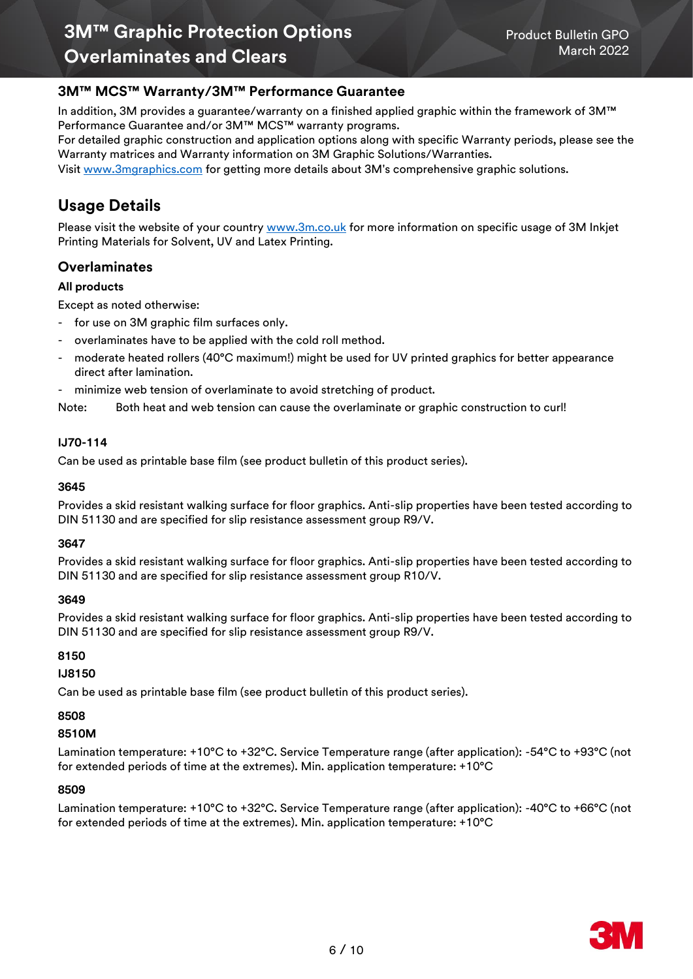# **3M™ MCS™ Warranty/3M™ Performance Guarantee**

In addition, 3M provides a guarantee/warranty on a finished applied graphic within the framework of 3M™ Performance Guarantee and/or 3M™ MCS™ warranty programs.

[For detailed graphic construction and application options along with specific Warranty periods, please see the](http://solutions.3m.com/wps/portal/3M/en_EU/3MGraphics/GraphicSolutions/Support/Warranties/)  [Warranty matrices and Warranty information on 3M Graphic Solutions/Warranties.](http://solutions.3m.com/wps/portal/3M/en_EU/3MGraphics/GraphicSolutions/Support/Warranties/)

Visit [www.3mgraphics.com](https://www.3m.com/3M/en_US/graphics-signage-us/?utm_medium=redirect&utm_source=vanity-url&utm_campaign=www.3Mgraphics.com) for getting more details about 3M's comprehensive graphic solutions.

# **Usage Details**

Please visit the website of your country [www.3m.co.uk](https://www.3m.co.uk/3M/en_GB/graphics-and-signage-uk/resources/warranties/) for more information on specific usage of 3M Inkjet Printing Materials for Solvent, UV and Latex Printing.

# **Overlaminates**

## **All products**

Except as noted otherwise:

- for use on 3M graphic film surfaces only.
- overlaminates have to be applied with the cold roll method.
- moderate heated rollers (40°C maximum!) might be used for UV printed graphics for better appearance direct after lamination.
- minimize web tension of overlaminate to avoid stretching of product.

Note: Both heat and web tension can cause the overlaminate or graphic construction to curl!

#### **IJ70-114**

Can be used as printable base film (see product bulletin of this product series).

#### **3645**

Provides a skid resistant walking surface for floor graphics. Anti-slip properties have been tested according to DIN 51130 and are specified for slip resistance assessment group R9/V.

#### **3647**

Provides a skid resistant walking surface for floor graphics. Anti-slip properties have been tested according to DIN 51130 and are specified for slip resistance assessment group R10/V.

#### **3649**

Provides a skid resistant walking surface for floor graphics. Anti-slip properties have been tested according to DIN 51130 and are specified for slip resistance assessment group R9/V.

#### **8150**

## **IJ8150**

Can be used as printable base film (see product bulletin of this product series).

## **8508**

## **8510M**

Lamination temperature: +10°C to +32°C. Service Temperature range (after application): -54°C to +93°C (not for extended periods of time at the extremes). Min. application temperature: +10°C

#### **8509**

Lamination temperature: +10°C to +32°C. Service Temperature range (after application): -40°C to +66°C (not for extended periods of time at the extremes). Min. application temperature: +10°C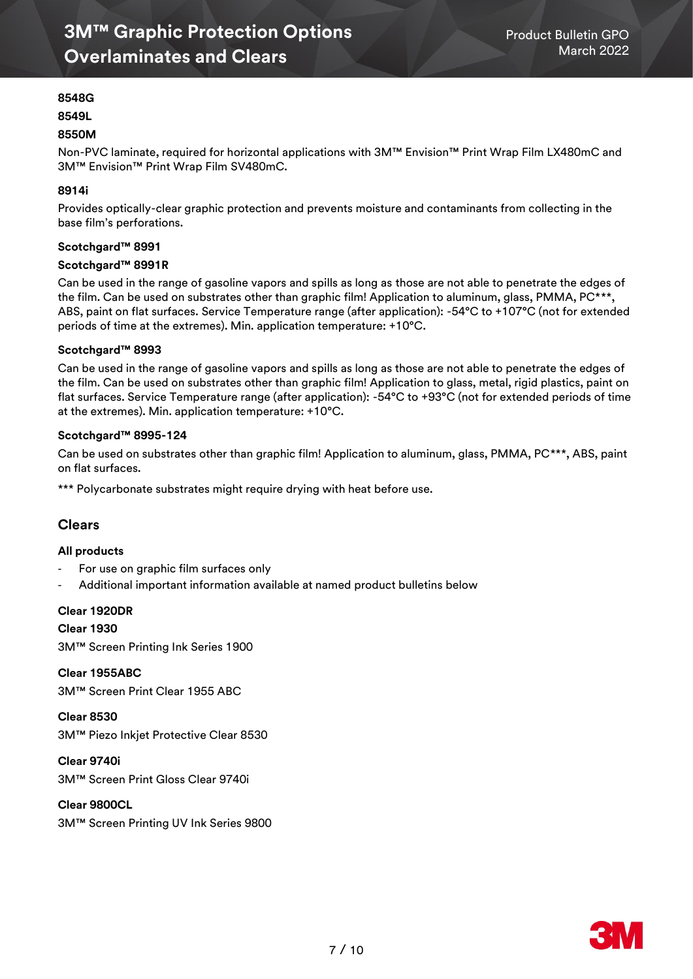## **8548G**

#### **8549L**

#### **8550M**

Non-PVC laminate, required for horizontal applications with 3M™ Envision™ Print Wrap Film LX480mC and 3M™ Envision™ Print Wrap Film SV480mC.

#### **8914i**

Provides optically-clear graphic protection and prevents moisture and contaminants from collecting in the base film's perforations.

#### **Scotchgard™ 8991**

#### **Scotchgard™ 8991R**

Can be used in the range of gasoline vapors and spills as long as those are not able to penetrate the edges of the film. Can be used on substrates other than graphic film! Application to aluminum, glass, PMMA, PC\*\*\*, ABS, paint on flat surfaces. Service Temperature range (after application): -54°C to +107°C (not for extended periods of time at the extremes). Min. application temperature: +10°C.

#### **Scotchgard™ 8993**

Can be used in the range of gasoline vapors and spills as long as those are not able to penetrate the edges of the film. Can be used on substrates other than graphic film! Application to glass, metal, rigid plastics, paint on flat surfaces. Service Temperature range (after application): -54°C to +93°C (not for extended periods of time at the extremes). Min. application temperature: +10°C.

#### **Scotchgard™ 8995-124**

Can be used on substrates other than graphic film! Application to aluminum, glass, PMMA, PC\*\*\*, ABS, paint on flat surfaces.

\*\*\* Polycarbonate substrates might require drying with heat before use.

## **Clears**

#### **All products**

- For use on graphic film surfaces only
- Additional important information available at named product bulletins below

#### **Clear 1920DR**

**Clear 1930**

3M™ Screen Printing Ink Series 1900

**Clear 1955ABC** 3M™ Screen Print Clear 1955 ABC

**Clear 8530** 3M™ Piezo Inkjet Protective Clear 8530

**Clear 9740i** 3M™ Screen Print Gloss Clear 9740i

**Clear 9800CL** 3M™ Screen Printing UV Ink Series 9800

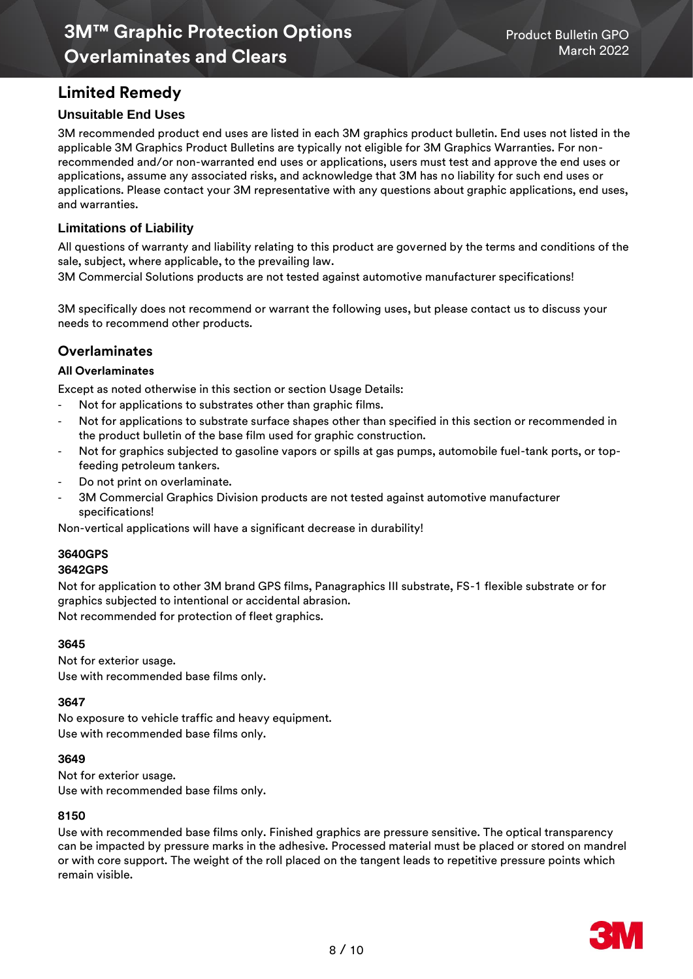# **Limited Remedy**

## **Unsuitable End Uses**

3M recommended product end uses are listed in each 3M graphics product bulletin. End uses not listed in the applicable 3M Graphics Product Bulletins are typically not eligible for 3M Graphics Warranties. For nonrecommended and/or non-warranted end uses or applications, users must test and approve the end uses or applications, assume any associated risks, and acknowledge that 3M has no liability for such end uses or applications. Please contact your 3M representative with any questions about graphic applications, end uses, and warranties.

## **Limitations of Liability**

All questions of warranty and liability relating to this product are governed by the terms and conditions of the sale, subject, where applicable, to the prevailing law.

3M Commercial Solutions products are not tested against automotive manufacturer specifications!

3M specifically does not recommend or warrant the following uses, but please contact us to discuss your needs to recommend other products.

# **Overlaminates**

#### **All Overlaminates**

Except as noted otherwise in this section or section Usage Details:

- Not for applications to substrates other than graphic films.
- Not for applications to substrate surface shapes other than specified in this section or recommended in the product bulletin of the base film used for graphic construction.
- Not for graphics subjected to gasoline vapors or spills at gas pumps, automobile fuel-tank ports, or topfeeding petroleum tankers.
- Do not print on overlaminate.
- 3M Commercial Graphics Division products are not tested against automotive manufacturer specifications!

Non-vertical applications will have a significant decrease in durability!

## **3640GPS**

#### **3642GPS**

Not for application to other 3M brand GPS films, Panagraphics III substrate, FS-1 flexible substrate or for graphics subjected to intentional or accidental abrasion.

Not recommended for protection of fleet graphics.

#### **3645**

Not for exterior usage.

Use with recommended base films only.

#### **3647**

No exposure to vehicle traffic and heavy equipment. Use with recommended base films only.

#### **3649**

Not for exterior usage. Use with recommended base films only.

#### **8150**

Use with recommended base films only. Finished graphics are pressure sensitive. The optical transparency can be impacted by pressure marks in the adhesive. Processed material must be placed or stored on mandrel or with core support. The weight of the roll placed on the tangent leads to repetitive pressure points which remain visible.

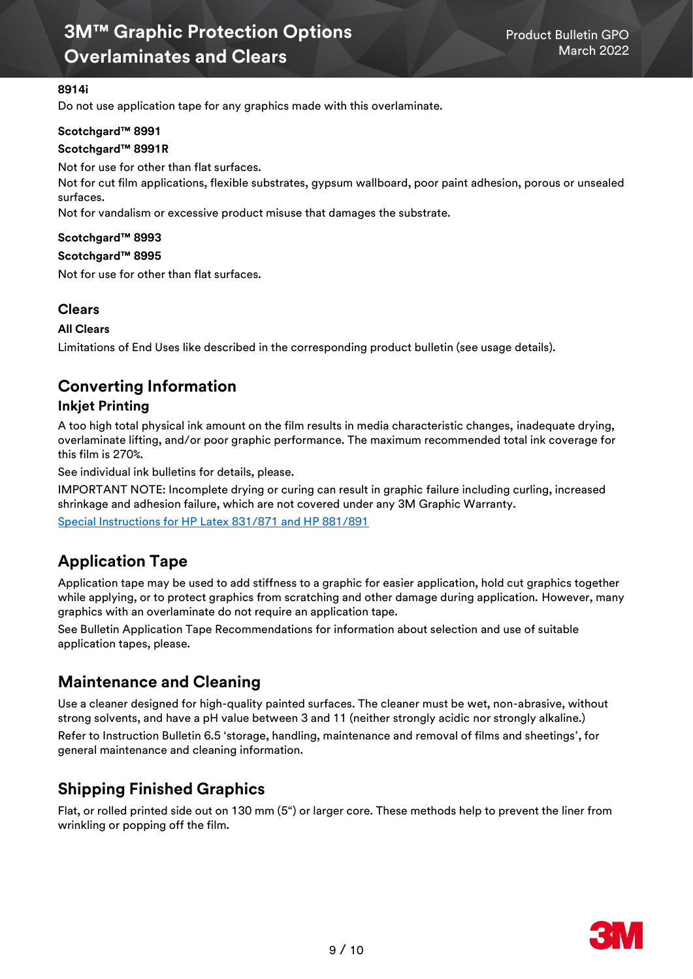#### **8914i**

Do not use application tape for any graphics made with this overlaminate.

#### **Scotchgard™ 8991**

#### **Scotchgard™ 8991R**

Not for use for other than flat surfaces.

Not for cut film applications, flexible substrates, gypsum wallboard, poor paint adhesion, porous or unsealed surfaces.

Not for vandalism or excessive product misuse that damages the substrate.

#### **Scotchgard™ 8993**

#### **Scotchgard™ 8995**

Not for use for other than flat surfaces.

## **Clears**

#### **All Clears**

Limitations of End Uses like described in the corresponding product bulletin (see usage details).

# **Converting Information**

## **Inkjet Printing**

A too high total physical ink amount on the film results in media characteristic changes, inadequate drying, overlaminate lifting, and/or poor graphic performance. The maximum recommended total ink coverage for this film is 270%.

See individual ink bulletins for details, please.

IMPORTANT NOTE: Incomplete drying or curing can result in graphic failure including curling, increased shrinkage and adhesion failure, which are not covered under any 3M Graphic Warranty. [Special Instructions for HP Latex 831/871 and HP 881/891](https://multimedia.3m.com/mws/media/1814717O/hp-latex-inks-customer-information.pdf)

# **Application Tape**

Application tape may be used to add stiffness to a graphic for easier application, hold cut graphics together while applying, or to protect graphics from scratching and other damage during application. However, many graphics with an overlaminate do not require an application tape.

See Bulletin [Application Tape Recommendations](http://multimedia.3m.com/mws/media/647068O/product-bulletin-application-tapes.pdf) for information about selection and use of suitable application tapes, please.

# **Maintenance and Cleaning**

Use a cleaner designed for high-quality painted surfaces. The cleaner must be wet, non-abrasive, without strong solvents, and have a pH value between 3 and 11 (neither strongly acidic nor strongly alkaline.) Refer to Instruction Bulletin [6.5 'storage, handling, maintenance and removal of films and sheetings'](http://multimedia.3m.com/mws/media/986574O/instruction-bulletin-6-5.pdf), for general maintenance and cleaning information.

# **Shipping Finished Graphics**

Flat, or rolled printed side out on 130 mm (5") or larger core. These methods help to prevent the liner from wrinkling or popping off the film.